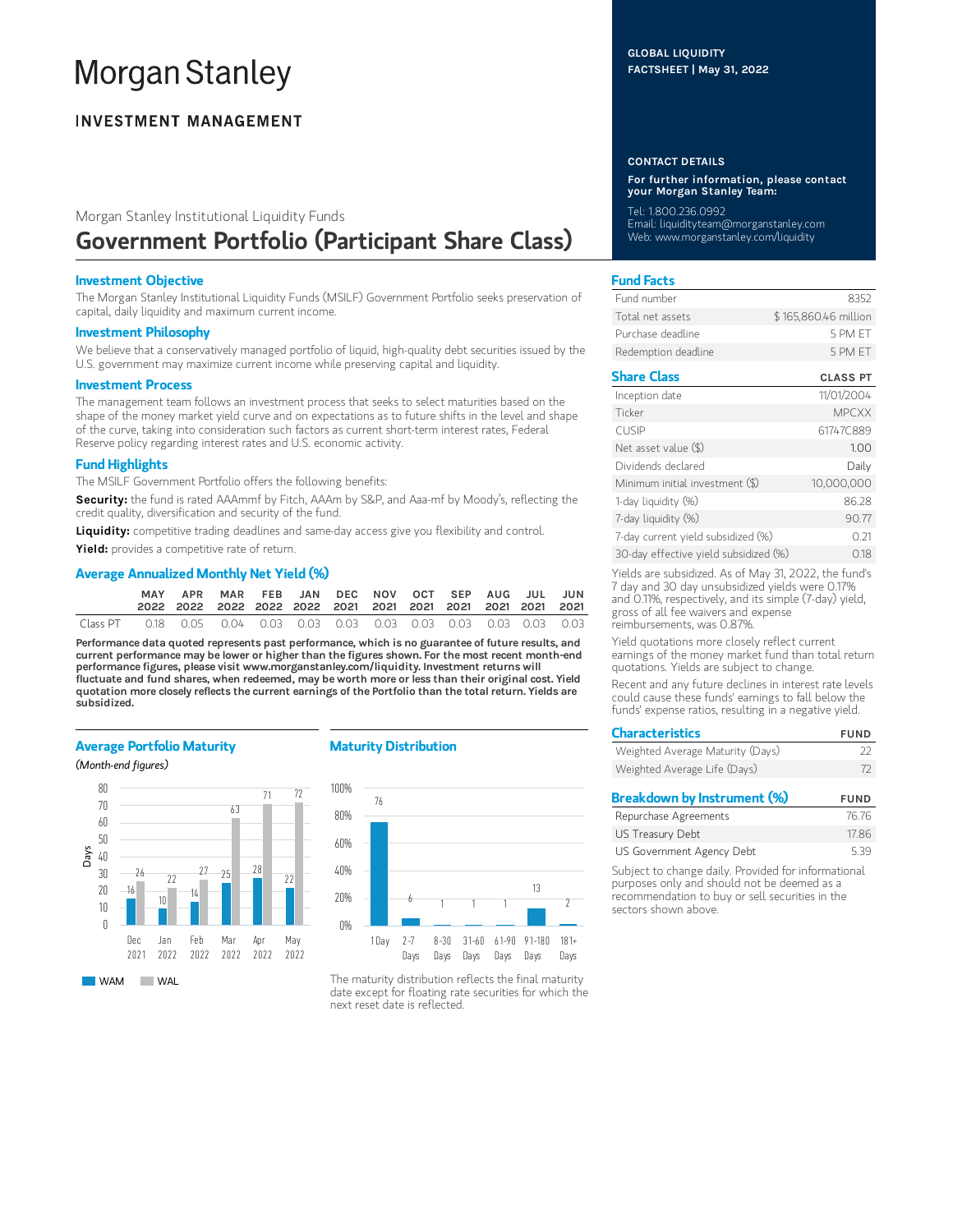# **Morgan Stanley**

# **INVESTMENT MANAGEMENT**

# Morgan Stanley Institutional Liquidity Funds Government Portfolio (Participant Share Class)

## Investment Objective

The Morgan Stanley Institutional Liquidity Funds (MSILF) Government Portfolio seeks preservation of capital, daily liquidity and maximum current income.

#### Investment Philosophy

We believe that a conservatively managed portfolio of liquid, high-quality debt securities issued by the U.S. government may maximize current income while preserving capital and liquidity.

#### Investment Process

The management team follows an investment process that seeks to select maturities based on the shape of the money market yield curve and on expectations as to future shifts in the level and shape of the curve, taking into consideration such factors as current short-term interest rates, Federal Reserve policy regarding interest rates and U.S. economic activity.

# Fund Highlights

The MSILF Government Portfolio offers the following benefits:

Security: the fund is rated AAAmmf by Fitch, AAAm by S&P, and Aaa-mf by Moody's, reflecting the credit quality, diversification and security of the fund.

Liquidity: competitive trading deadlines and same-day access give you flexibility and control.

Yield: provides a competitive rate of return.

# Average Annualized Monthly Net Yield (%)

|          | <b>MAY</b> | APR                                                                    | MAR FEB JAN DEC NOV OCT SEP AUG JUL JUN |  |  |  |  |  |
|----------|------------|------------------------------------------------------------------------|-----------------------------------------|--|--|--|--|--|
| Class PT |            | 0.18  0.05  0.04  0.03  0.03  0.03  0.03  0.03  0.03  0.03  0.03  0.03 |                                         |  |  |  |  |  |

Performance data quoted represents past performance, which is no guarantee of future results, and current performance may be lower or higher than the figures shown. For the most recent month-end performance figures, please visit www.morganstanley.com/liquidity. Investment returns will fluctuate and fund shares, when redeemed, may be worth more or less than their original cost. Yield quotation more closely reflects the current earnings of the Portfolio than the total return. Yields are subsidized.

### Average Portfolio Maturity

(Month-end figures)



### Maturity Distribution



The maturity distribution reflects the final maturity date except for floating rate securities for which the next reset date is reflected.

#### CONTACT DETAILS

For further information, please contact your Morgan Stanley Team:

Tel: 1.800.236.0992 Email: liquidityteam@morganstanley.com Web: www.morganstanley.com/liquidity

# Fund Facts

| Fund number         | 8352                 |
|---------------------|----------------------|
| Total net assets    | \$165,860,46 million |
| Purchase deadline   | 5 PM FT              |
| Redemption deadline | 5 PM FT              |

# Share Class CLASS PT

| Inception date                        | 11/01/2004   |
|---------------------------------------|--------------|
| Ticker                                | <b>MPCXX</b> |
| <b>CUSIP</b>                          | 61747C889    |
| Net asset value (\$)                  | 1.00         |
| Dividends declared                    | Daily        |
| Minimum initial investment (\$)       | 10,000,000   |
| 1-day liquidity (%)                   | 86.28        |
| 7-day liquidity (%)                   | 90.77        |
| 7-day current yield subsidized (%)    | 0.21         |
| 30-day effective yield subsidized (%) | 0.18         |

Yields are subsidized. As of May 31, 2022, the fund's 7 day and 30 day unsubsidized yields were 0.17% and 0.11%, respectively, and its simple (7-day) yield, gross of all fee waivers and expense reimbursements, was 0.87%.

Yield quotations more closely reflect current earnings of the money market fund than total return quotations. Yields are subject to change.

Recent and any future declines in interest rate levels could cause these funds' earnings to fall below the funds' expense ratios, resulting in a negative yield.

| <b>Characteristics</b>           | <b>FUND</b> |
|----------------------------------|-------------|
| Weighted Average Maturity (Days) | フフ          |
| Weighted Average Life (Days)     | 72          |
| Breakdown by Instrument (%)      | <b>FUND</b> |
| Repurchase Agreements            | 76.76       |

| LEMINICITIES HAITERITIES  | 11.11 |
|---------------------------|-------|
| US Treasury Debt          | 17.86 |
| US Government Agency Debt | 5.39  |

Subject to change daily. Provided for informational purposes only and should not be deemed as a recommendation to buy or sell securities in the sectors shown above.